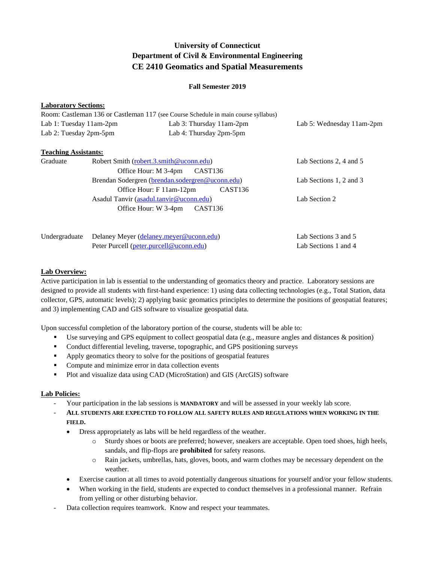# **University of Connecticut Department of Civil & Environmental Engineering CE 2410 Geomatics and Spatial Measurements**

#### **Fall Semester 2019**

#### **Laboratory Sections:**

|                         | Room: Castleman 136 or Castleman 117 (see Course Schedule in main course syllabus) |                           |
|-------------------------|------------------------------------------------------------------------------------|---------------------------|
| Lab 1: Tuesday 11am-2pm | Lab 3: Thursday $11$ am- $2$ pm                                                    | Lab 5: Wednesday 11am-2pm |
| Lab 2: Tuesday 2pm-5pm  | Lab 4: Thursday 2pm-5pm                                                            |                           |
|                         |                                                                                    |                           |

### **Teaching Assistants:**

| Lab Sections 2, 4 and 5 |
|-------------------------|
|                         |
| Lab Sections 1, 2 and 3 |
|                         |
| Lab Section 2           |
|                         |
|                         |
|                         |

Undergraduate Delaney Meyer [\(delaney.meyer@uconn.edu\)](mailto:delaney.meyer@uconn.edu) Lab Sections 3 and 5 Peter Purcell [\(peter.purcell@uconn.edu\)](mailto:peter.purcell@uconn.edu) Lab Sections 1 and 4

### **Lab Overview:**

Active participation in lab is essential to the understanding of geomatics theory and practice. Laboratory sessions are designed to provide all students with first-hand experience: 1) using data collecting technologies (e.g., Total Station, data collector, GPS, automatic levels); 2) applying basic geomatics principles to determine the positions of geospatial features; and 3) implementing CAD and GIS software to visualize geospatial data.

Upon successful completion of the laboratory portion of the course, students will be able to:

- Use surveying and GPS equipment to collect geospatial data (e.g., measure angles and distances  $\&$  position)
- Conduct differential leveling, traverse, topographic, and GPS positioning surveys
- Apply geomatics theory to solve for the positions of geospatial features
- Compute and minimize error in data collection events
- **Plot and visualize data using CAD (MicroStation) and GIS (ArcGIS) software**

# **Lab Policies:**

- Your participation in the lab sessions is **MANDATORY** and will be assessed in your weekly lab score.
- **ALL STUDENTS ARE EXPECTED TO FOLLOW ALL SAFETY RULES AND REGULATIONS WHEN WORKING IN THE FIELD.**
	- Dress appropriately as labs will be held regardless of the weather.
		- o Sturdy shoes or boots are preferred; however, sneakers are acceptable. Open toed shoes, high heels, sandals, and flip-flops are **prohibited** for safety reasons.
		- o Rain jackets, umbrellas, hats, gloves, boots, and warm clothes may be necessary dependent on the weather.
	- Exercise caution at all times to avoid potentially dangerous situations for yourself and/or your fellow students.
	- When working in the field, students are expected to conduct themselves in a professional manner. Refrain from yelling or other disturbing behavior.
- Data collection requires teamwork. Know and respect your teammates.